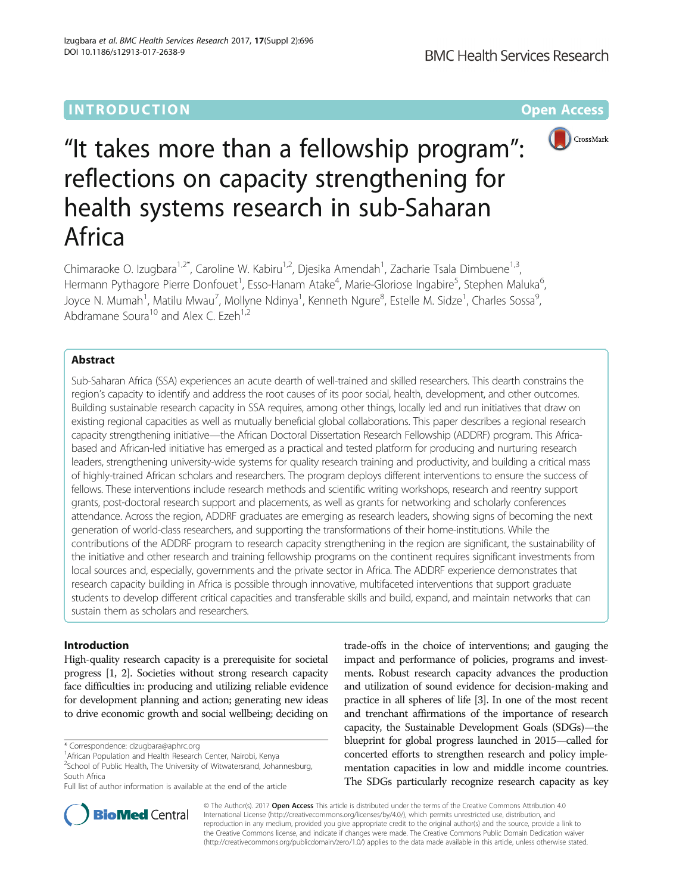# **INTRODUCTION CONSUMING THE OPEN ACCESS**



# "It takes more than a fellowship program": reflections on capacity strengthening for health systems research in sub-Saharan Africa

Chimaraoke O. Izugbara<sup>1,2\*</sup>, Caroline W. Kabiru<sup>1,2</sup>, Djesika Amendah<sup>1</sup>, Zacharie Tsala Dimbuene<sup>1,3</sup>, Hermann Pythagore Pierre Donfouet<sup>1</sup>, Esso-Hanam Atake<sup>4</sup>, Marie-Gloriose Ingabire<sup>5</sup>, Stephen Maluka<sup>6</sup> , Joyce N. Mumah<sup>1</sup>, Matilu Mwau<sup>7</sup>, Mollyne Ndinya<sup>1</sup>, Kenneth Ngure<sup>8</sup>, Estelle M. Sidze<sup>1</sup>, Charles Sossa<sup>s</sup> , Abdramane Soura<sup>10</sup> and Alex C. Ezeh<sup>1,2</sup>

# Abstract

Sub-Saharan Africa (SSA) experiences an acute dearth of well-trained and skilled researchers. This dearth constrains the region's capacity to identify and address the root causes of its poor social, health, development, and other outcomes. Building sustainable research capacity in SSA requires, among other things, locally led and run initiatives that draw on existing regional capacities as well as mutually beneficial global collaborations. This paper describes a regional research capacity strengthening initiative—the African Doctoral Dissertation Research Fellowship (ADDRF) program. This Africabased and African-led initiative has emerged as a practical and tested platform for producing and nurturing research leaders, strengthening university-wide systems for quality research training and productivity, and building a critical mass of highly-trained African scholars and researchers. The program deploys different interventions to ensure the success of fellows. These interventions include research methods and scientific writing workshops, research and reentry support grants, post-doctoral research support and placements, as well as grants for networking and scholarly conferences attendance. Across the region, ADDRF graduates are emerging as research leaders, showing signs of becoming the next generation of world-class researchers, and supporting the transformations of their home-institutions. While the contributions of the ADDRF program to research capacity strengthening in the region are significant, the sustainability of the initiative and other research and training fellowship programs on the continent requires significant investments from local sources and, especially, governments and the private sector in Africa. The ADDRF experience demonstrates that research capacity building in Africa is possible through innovative, multifaceted interventions that support graduate students to develop different critical capacities and transferable skills and build, expand, and maintain networks that can sustain them as scholars and researchers.

## Introduction

High-quality research capacity is a prerequisite for societal progress [[1](#page-3-0), [2](#page-3-0)]. Societies without strong research capacity face difficulties in: producing and utilizing reliable evidence for development planning and action; generating new ideas to drive economic growth and social wellbeing; deciding on

trade-offs in the choice of interventions; and gauging the impact and performance of policies, programs and investments. Robust research capacity advances the production and utilization of sound evidence for decision-making and practice in all spheres of life [\[3\]](#page-4-0). In one of the most recent and trenchant affirmations of the importance of research capacity, the Sustainable Development Goals (SDGs)—the blueprint for global progress launched in 2015—called for concerted efforts to strengthen research and policy implementation capacities in low and middle income countries. The SDGs particularly recognize research capacity as key



© The Author(s). 2017 **Open Access** This article is distributed under the terms of the Creative Commons Attribution 4.0 International License [\(http://creativecommons.org/licenses/by/4.0/](http://creativecommons.org/licenses/by/4.0/)), which permits unrestricted use, distribution, and reproduction in any medium, provided you give appropriate credit to the original author(s) and the source, provide a link to the Creative Commons license, and indicate if changes were made. The Creative Commons Public Domain Dedication waiver [\(http://creativecommons.org/publicdomain/zero/1.0/](http://creativecommons.org/publicdomain/zero/1.0/)) applies to the data made available in this article, unless otherwise stated.

<sup>\*</sup> Correspondence: [cizugbara@aphrc.org](mailto:cizugbara@aphrc.org) <sup>1</sup>

<sup>&</sup>lt;sup>1</sup> African Population and Health Research Center, Nairobi, Kenya

<sup>&</sup>lt;sup>2</sup>School of Public Health, The University of Witwatersrand, Johannesburg, South Africa

Full list of author information is available at the end of the article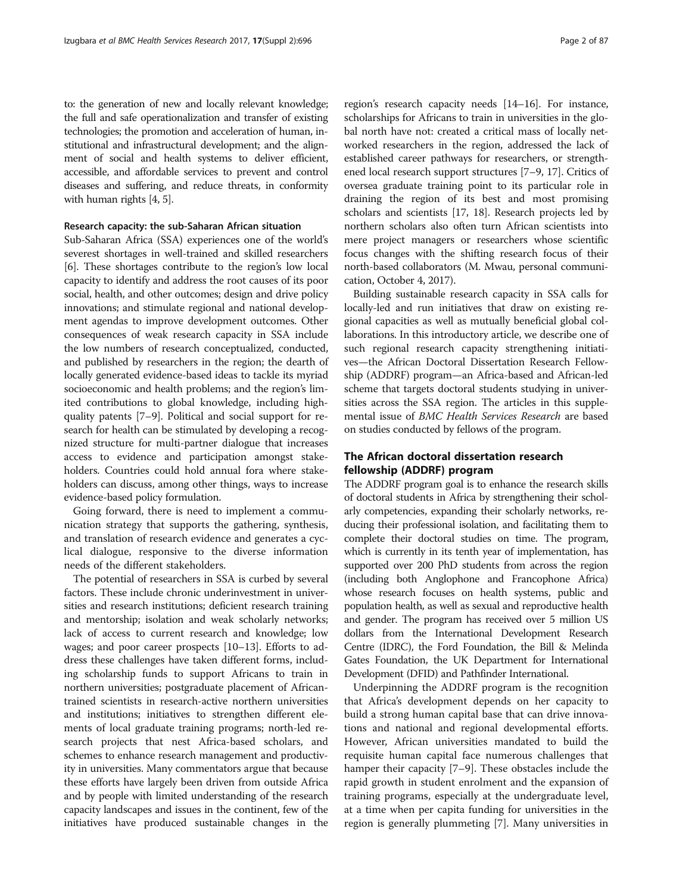to: the generation of new and locally relevant knowledge; the full and safe operationalization and transfer of existing technologies; the promotion and acceleration of human, institutional and infrastructural development; and the alignment of social and health systems to deliver efficient, accessible, and affordable services to prevent and control diseases and suffering, and reduce threats, in conformity with human rights [[4](#page-4-0), [5\]](#page-4-0).

## Research capacity: the sub-Saharan African situation

Sub-Saharan Africa (SSA) experiences one of the world's severest shortages in well-trained and skilled researchers [[6\]](#page-4-0). These shortages contribute to the region's low local capacity to identify and address the root causes of its poor social, health, and other outcomes; design and drive policy innovations; and stimulate regional and national development agendas to improve development outcomes. Other consequences of weak research capacity in SSA include the low numbers of research conceptualized, conducted, and published by researchers in the region; the dearth of locally generated evidence-based ideas to tackle its myriad socioeconomic and health problems; and the region's limited contributions to global knowledge, including highquality patents [[7](#page-4-0)–[9](#page-4-0)]. Political and social support for research for health can be stimulated by developing a recognized structure for multi-partner dialogue that increases access to evidence and participation amongst stakeholders. Countries could hold annual fora where stakeholders can discuss, among other things, ways to increase evidence-based policy formulation.

Going forward, there is need to implement a communication strategy that supports the gathering, synthesis, and translation of research evidence and generates a cyclical dialogue, responsive to the diverse information needs of the different stakeholders.

The potential of researchers in SSA is curbed by several factors. These include chronic underinvestment in universities and research institutions; deficient research training and mentorship; isolation and weak scholarly networks; lack of access to current research and knowledge; low wages; and poor career prospects [\[10](#page-4-0)–[13](#page-4-0)]. Efforts to address these challenges have taken different forms, including scholarship funds to support Africans to train in northern universities; postgraduate placement of Africantrained scientists in research-active northern universities and institutions; initiatives to strengthen different elements of local graduate training programs; north-led research projects that nest Africa-based scholars, and schemes to enhance research management and productivity in universities. Many commentators argue that because these efforts have largely been driven from outside Africa and by people with limited understanding of the research capacity landscapes and issues in the continent, few of the initiatives have produced sustainable changes in the

region's research capacity needs [[14](#page-4-0)–[16\]](#page-4-0). For instance, scholarships for Africans to train in universities in the global north have not: created a critical mass of locally networked researchers in the region, addressed the lack of established career pathways for researchers, or strengthened local research support structures [[7](#page-4-0)–[9](#page-4-0), [17\]](#page-4-0). Critics of oversea graduate training point to its particular role in draining the region of its best and most promising scholars and scientists [\[17, 18\]](#page-4-0). Research projects led by northern scholars also often turn African scientists into mere project managers or researchers whose scientific focus changes with the shifting research focus of their north-based collaborators (M. Mwau, personal communication, October 4, 2017).

Building sustainable research capacity in SSA calls for locally-led and run initiatives that draw on existing regional capacities as well as mutually beneficial global collaborations. In this introductory article, we describe one of such regional research capacity strengthening initiatives—the African Doctoral Dissertation Research Fellowship (ADDRF) program—an Africa-based and African-led scheme that targets doctoral students studying in universities across the SSA region. The articles in this supplemental issue of BMC Health Services Research are based on studies conducted by fellows of the program.

## The African doctoral dissertation research fellowship (ADDRF) program

The ADDRF program goal is to enhance the research skills of doctoral students in Africa by strengthening their scholarly competencies, expanding their scholarly networks, reducing their professional isolation, and facilitating them to complete their doctoral studies on time. The program, which is currently in its tenth year of implementation, has supported over 200 PhD students from across the region (including both Anglophone and Francophone Africa) whose research focuses on health systems, public and population health, as well as sexual and reproductive health and gender. The program has received over 5 million US dollars from the International Development Research Centre (IDRC), the Ford Foundation, the Bill & Melinda Gates Foundation, the UK Department for International Development (DFID) and Pathfinder International.

Underpinning the ADDRF program is the recognition that Africa's development depends on her capacity to build a strong human capital base that can drive innovations and national and regional developmental efforts. However, African universities mandated to build the requisite human capital face numerous challenges that hamper their capacity [[7](#page-4-0)–[9\]](#page-4-0). These obstacles include the rapid growth in student enrolment and the expansion of training programs, especially at the undergraduate level, at a time when per capita funding for universities in the region is generally plummeting [\[7](#page-4-0)]. Many universities in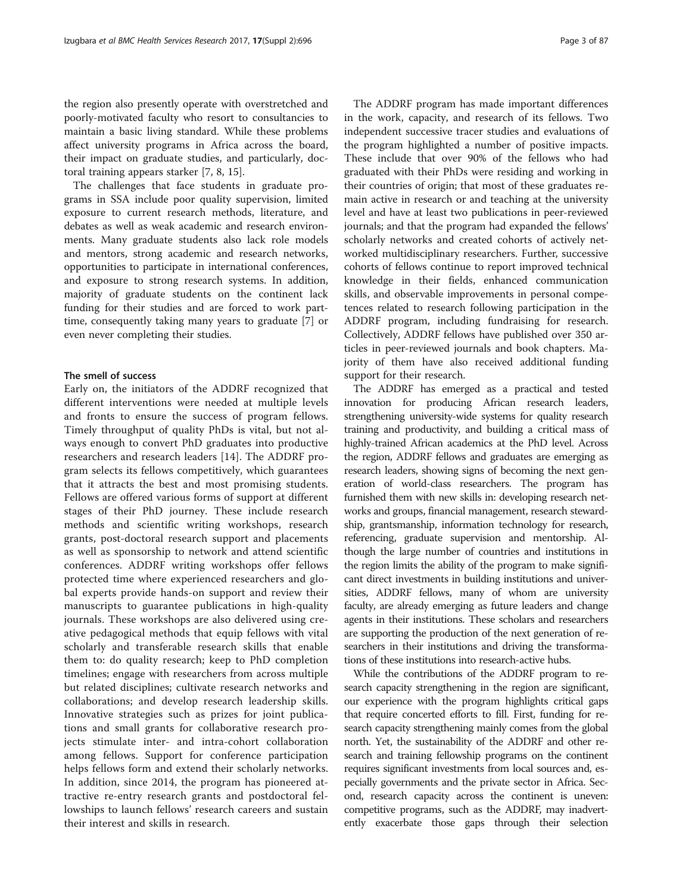the region also presently operate with overstretched and poorly-motivated faculty who resort to consultancies to maintain a basic living standard. While these problems affect university programs in Africa across the board, their impact on graduate studies, and particularly, doctoral training appears starker [[7](#page-4-0), [8](#page-4-0), [15](#page-4-0)].

The challenges that face students in graduate programs in SSA include poor quality supervision, limited exposure to current research methods, literature, and debates as well as weak academic and research environments. Many graduate students also lack role models and mentors, strong academic and research networks, opportunities to participate in international conferences, and exposure to strong research systems. In addition, majority of graduate students on the continent lack funding for their studies and are forced to work parttime, consequently taking many years to graduate [\[7](#page-4-0)] or even never completing their studies.

#### The smell of success

Early on, the initiators of the ADDRF recognized that different interventions were needed at multiple levels and fronts to ensure the success of program fellows. Timely throughput of quality PhDs is vital, but not always enough to convert PhD graduates into productive researchers and research leaders [[14\]](#page-4-0). The ADDRF program selects its fellows competitively, which guarantees that it attracts the best and most promising students. Fellows are offered various forms of support at different stages of their PhD journey. These include research methods and scientific writing workshops, research grants, post-doctoral research support and placements as well as sponsorship to network and attend scientific conferences. ADDRF writing workshops offer fellows protected time where experienced researchers and global experts provide hands-on support and review their manuscripts to guarantee publications in high-quality journals. These workshops are also delivered using creative pedagogical methods that equip fellows with vital scholarly and transferable research skills that enable them to: do quality research; keep to PhD completion timelines; engage with researchers from across multiple but related disciplines; cultivate research networks and collaborations; and develop research leadership skills. Innovative strategies such as prizes for joint publications and small grants for collaborative research projects stimulate inter- and intra-cohort collaboration among fellows. Support for conference participation helps fellows form and extend their scholarly networks. In addition, since 2014, the program has pioneered attractive re-entry research grants and postdoctoral fellowships to launch fellows' research careers and sustain their interest and skills in research.

The ADDRF program has made important differences in the work, capacity, and research of its fellows. Two independent successive tracer studies and evaluations of the program highlighted a number of positive impacts. These include that over 90% of the fellows who had graduated with their PhDs were residing and working in their countries of origin; that most of these graduates remain active in research or and teaching at the university level and have at least two publications in peer-reviewed journals; and that the program had expanded the fellows' scholarly networks and created cohorts of actively networked multidisciplinary researchers. Further, successive cohorts of fellows continue to report improved technical knowledge in their fields, enhanced communication skills, and observable improvements in personal competences related to research following participation in the ADDRF program, including fundraising for research. Collectively, ADDRF fellows have published over 350 articles in peer-reviewed journals and book chapters. Majority of them have also received additional funding support for their research.

The ADDRF has emerged as a practical and tested innovation for producing African research leaders, strengthening university-wide systems for quality research training and productivity, and building a critical mass of highly-trained African academics at the PhD level. Across the region, ADDRF fellows and graduates are emerging as research leaders, showing signs of becoming the next generation of world-class researchers. The program has furnished them with new skills in: developing research networks and groups, financial management, research stewardship, grantsmanship, information technology for research, referencing, graduate supervision and mentorship. Although the large number of countries and institutions in the region limits the ability of the program to make significant direct investments in building institutions and universities, ADDRF fellows, many of whom are university faculty, are already emerging as future leaders and change agents in their institutions. These scholars and researchers are supporting the production of the next generation of researchers in their institutions and driving the transformations of these institutions into research-active hubs.

While the contributions of the ADDRF program to research capacity strengthening in the region are significant, our experience with the program highlights critical gaps that require concerted efforts to fill. First, funding for research capacity strengthening mainly comes from the global north. Yet, the sustainability of the ADDRF and other research and training fellowship programs on the continent requires significant investments from local sources and, especially governments and the private sector in Africa. Second, research capacity across the continent is uneven: competitive programs, such as the ADDRF, may inadvertently exacerbate those gaps through their selection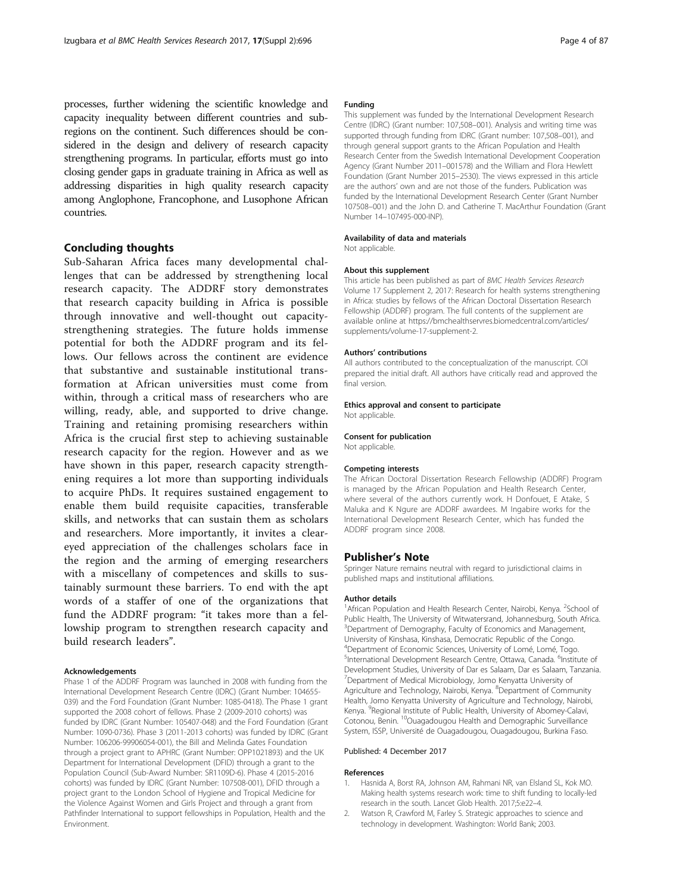<span id="page-3-0"></span>processes, further widening the scientific knowledge and capacity inequality between different countries and subregions on the continent. Such differences should be considered in the design and delivery of research capacity strengthening programs. In particular, efforts must go into closing gender gaps in graduate training in Africa as well as addressing disparities in high quality research capacity among Anglophone, Francophone, and Lusophone African countries.

### Concluding thoughts

Sub-Saharan Africa faces many developmental challenges that can be addressed by strengthening local research capacity. The ADDRF story demonstrates that research capacity building in Africa is possible through innovative and well-thought out capacitystrengthening strategies. The future holds immense potential for both the ADDRF program and its fellows. Our fellows across the continent are evidence that substantive and sustainable institutional transformation at African universities must come from within, through a critical mass of researchers who are willing, ready, able, and supported to drive change. Training and retaining promising researchers within Africa is the crucial first step to achieving sustainable research capacity for the region. However and as we have shown in this paper, research capacity strengthening requires a lot more than supporting individuals to acquire PhDs. It requires sustained engagement to enable them build requisite capacities, transferable skills, and networks that can sustain them as scholars and researchers. More importantly, it invites a cleareyed appreciation of the challenges scholars face in the region and the arming of emerging researchers with a miscellany of competences and skills to sustainably surmount these barriers. To end with the apt words of a staffer of one of the organizations that fund the ADDRF program: "it takes more than a fellowship program to strengthen research capacity and build research leaders".

#### Acknowledgements

Phase 1 of the ADDRF Program was launched in 2008 with funding from the International Development Research Centre (IDRC) (Grant Number: 104655- 039) and the Ford Foundation (Grant Number: 1085-0418). The Phase 1 grant supported the 2008 cohort of fellows. Phase 2 (2009-2010 cohorts) was funded by IDRC (Grant Number: 105407-048) and the Ford Foundation (Grant Number: 1090-0736). Phase 3 (2011-2013 cohorts) was funded by IDRC (Grant Number: 106206-99906054-001), the Bill and Melinda Gates Foundation through a project grant to APHRC (Grant Number: OPP1021893) and the UK Department for International Development (DFID) through a grant to the Population Council (Sub-Award Number: SR1109D-6). Phase 4 (2015-2016 cohorts) was funded by IDRC (Grant Number: 107508-001), DFID through a project grant to the London School of Hygiene and Tropical Medicine for the Violence Against Women and Girls Project and through a grant from Pathfinder International to support fellowships in Population, Health and the Environment.

#### Funding

This supplement was funded by the International Development Research Centre (IDRC) (Grant number: 107,508–001). Analysis and writing time was supported through funding from IDRC (Grant number: 107,508–001), and through general support grants to the African Population and Health Research Center from the Swedish International Development Cooperation Agency (Grant Number 2011–001578) and the William and Flora Hewlett Foundation (Grant Number 2015–2530). The views expressed in this article are the authors' own and are not those of the funders. Publication was funded by the International Development Research Center (Grant Number 107508–001) and the John D. and Catherine T. MacArthur Foundation (Grant Number 14–107495-000-INP).

#### Availability of data and materials

Not applicable.

#### About this supplement

This article has been published as part of BMC Health Services Research Volume 17 Supplement 2, 2017: Research for health systems strengthening in Africa: studies by fellows of the African Doctoral Dissertation Research Fellowship (ADDRF) program. The full contents of the supplement are available online at https://bmchealthservres.biomedcentral.com/articles/ supplements/volume-17-supplement-2.

#### Authors' contributions

All authors contributed to the conceptualization of the manuscript. COI prepared the initial draft. All authors have critically read and approved the final version.

#### Ethics approval and consent to participate

Not applicable.

#### Consent for publication

Not applicable.

#### Competing interests

The African Doctoral Dissertation Research Fellowship (ADDRF) Program is managed by the African Population and Health Research Center, where several of the authors currently work. H Donfouet, E Atake, S Maluka and K Ngure are ADDRF awardees. M Ingabire works for the International Development Research Center, which has funded the ADDRF program since 2008.

#### Publisher's Note

Springer Nature remains neutral with regard to jurisdictional claims in published maps and institutional affiliations.

#### Author details

<sup>1</sup> African Population and Health Research Center, Nairobi, Kenya. <sup>2</sup> School of Public Health, The University of Witwatersrand, Johannesburg, South Africa. <sup>3</sup>Department of Demography, Faculty of Economics and Management, University of Kinshasa, Kinshasa, Democratic Republic of the Congo. 4 Department of Economic Sciences, University of Lomé, Lomé, Togo. <sup>5</sup>International Development Research Centre, Ottawa, Canada. <sup>6</sup>Institute of Development Studies, University of Dar es Salaam, Dar es Salaam, Tanzania. 7 Department of Medical Microbiology, Jomo Kenyatta University of Agriculture and Technology, Nairobi, Kenya. <sup>8</sup>Department of Community Health, Jomo Kenyatta University of Agriculture and Technology, Nairobi, Kenya. <sup>9</sup>Regional Institute of Public Health, University of Abomey-Calavi Cotonou, Benin. 10Ouagadougou Health and Demographic Surveillance System, ISSP, Université de Ouagadougou, Ouagadougou, Burkina Faso.

#### Published: 4 December 2017

#### References

- 1. Hasnida A, Borst RA, Johnson AM, Rahmani NR, van Elsland SL, Kok MO. Making health systems research work: time to shift funding to locally-led research in the south. Lancet Glob Health. 2017;5:e22–4.
- 2. Watson R, Crawford M, Farley S. Strategic approaches to science and technology in development. Washington: World Bank; 2003.